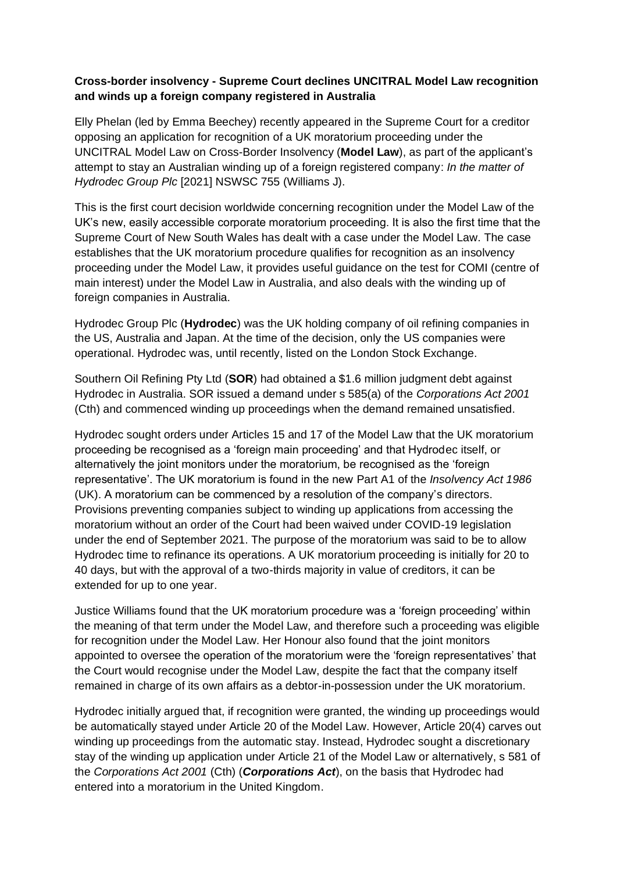## **Cross-border insolvency - Supreme Court declines UNCITRAL Model Law recognition and winds up a foreign company registered in Australia**

Elly Phelan (led by Emma Beechey) recently appeared in the Supreme Court for a creditor opposing an application for recognition of a UK moratorium proceeding under the UNCITRAL Model Law on Cross-Border Insolvency (**Model Law**), as part of the applicant's attempt to stay an Australian winding up of a foreign registered company: *In the matter of Hydrodec Group Plc* [2021] NSWSC 755 (Williams J).

This is the first court decision worldwide concerning recognition under the Model Law of the UK's new, easily accessible corporate moratorium proceeding. It is also the first time that the Supreme Court of New South Wales has dealt with a case under the Model Law. The case establishes that the UK moratorium procedure qualifies for recognition as an insolvency proceeding under the Model Law, it provides useful guidance on the test for COMI (centre of main interest) under the Model Law in Australia, and also deals with the winding up of foreign companies in Australia.

Hydrodec Group Plc (**Hydrodec**) was the UK holding company of oil refining companies in the US, Australia and Japan. At the time of the decision, only the US companies were operational. Hydrodec was, until recently, listed on the London Stock Exchange.

Southern Oil Refining Pty Ltd (**SOR**) had obtained a \$1.6 million judgment debt against Hydrodec in Australia. SOR issued a demand under s 585(a) of the *Corporations Act 2001* (Cth) and commenced winding up proceedings when the demand remained unsatisfied.

Hydrodec sought orders under Articles 15 and 17 of the Model Law that the UK moratorium proceeding be recognised as a 'foreign main proceeding' and that Hydrodec itself, or alternatively the joint monitors under the moratorium, be recognised as the 'foreign representative'. The UK moratorium is found in the new Part A1 of the *Insolvency Act 1986* (UK). A moratorium can be commenced by a resolution of the company's directors. Provisions preventing companies subject to winding up applications from accessing the moratorium without an order of the Court had been waived under COVID-19 legislation under the end of September 2021. The purpose of the moratorium was said to be to allow Hydrodec time to refinance its operations. A UK moratorium proceeding is initially for 20 to 40 days, but with the approval of a two-thirds majority in value of creditors, it can be extended for up to one year.

Justice Williams found that the UK moratorium procedure was a 'foreign proceeding' within the meaning of that term under the Model Law, and therefore such a proceeding was eligible for recognition under the Model Law. Her Honour also found that the joint monitors appointed to oversee the operation of the moratorium were the 'foreign representatives' that the Court would recognise under the Model Law, despite the fact that the company itself remained in charge of its own affairs as a debtor-in-possession under the UK moratorium.

Hydrodec initially argued that, if recognition were granted, the winding up proceedings would be automatically stayed under Article 20 of the Model Law. However, Article 20(4) carves out winding up proceedings from the automatic stay. Instead, Hydrodec sought a discretionary stay of the winding up application under Article 21 of the Model Law or alternatively, s 581 of the *Corporations Act 2001* (Cth) (*Corporations Act*), on the basis that Hydrodec had entered into a moratorium in the United Kingdom.